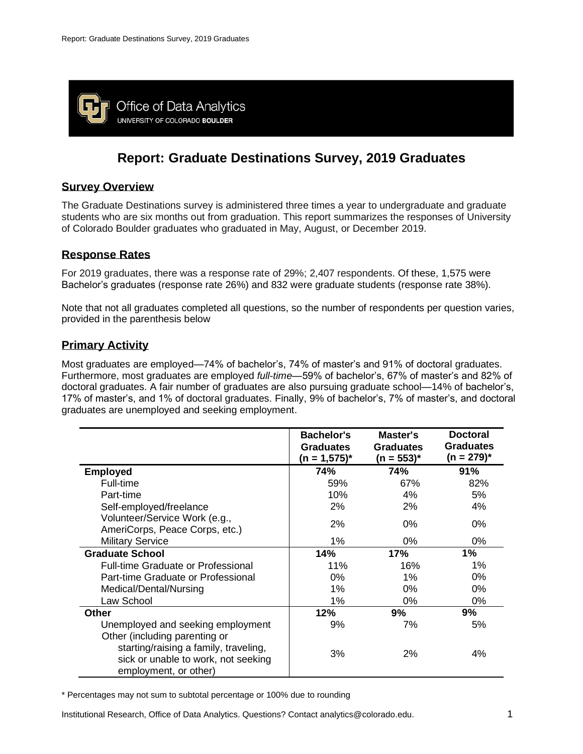

# **Report: Graduate Destinations Survey, 2019 Graduates**

#### **Survey Overview**

The Graduate Destinations survey is administered three times a year to undergraduate and graduate students who are six months out from graduation. This report summarizes the responses of University of Colorado Boulder graduates who graduated in May, August, or December 2019.

### **Response Rates**

For 2019 graduates, there was a response rate of 29%; 2,407 respondents. Of these, 1,575 were Bachelor's graduates (response rate 26%) and 832 were graduate students (response rate 38%).

Note that not all graduates completed all questions, so the number of respondents per question varies, provided in the parenthesis below

# **Primary Activity**

Most graduates are employed—74% of bachelor's, 74% of master's and 91% of doctoral graduates. Furthermore, most graduates are employed *full-time*—59% of bachelor's, 67% of master's and 82% of doctoral graduates. A fair number of graduates are also pursuing graduate school—14% of bachelor's, 17% of master's, and 1% of doctoral graduates. Finally, 9% of bachelor's, 7% of master's, and doctoral graduates are unemployed and seeking employment.

|                                                                                                                                        | <b>Bachelor's</b><br><b>Graduates</b><br>$(n = 1,575)^*$ | Master's<br><b>Graduates</b><br>$(n = 553)^{*}$ | <b>Doctoral</b><br><b>Graduates</b><br>$(n = 279)^{*}$ |
|----------------------------------------------------------------------------------------------------------------------------------------|----------------------------------------------------------|-------------------------------------------------|--------------------------------------------------------|
| <b>Employed</b>                                                                                                                        | 74%                                                      | 74%                                             | 91%                                                    |
| Full-time                                                                                                                              | 59%                                                      | 67%                                             | 82%                                                    |
| Part-time                                                                                                                              | 10%                                                      | 4%                                              | 5%                                                     |
| Self-employed/freelance                                                                                                                | $2\%$                                                    | 2%                                              | 4%                                                     |
| Volunteer/Service Work (e.g.,<br>AmeriCorps, Peace Corps, etc.)                                                                        | 2%                                                       | 0%                                              | 0%                                                     |
| <b>Military Service</b>                                                                                                                | $1\%$                                                    | $0\%$                                           | $0\%$                                                  |
| <b>Graduate School</b>                                                                                                                 | 14%                                                      | 17%                                             | 1%                                                     |
| <b>Full-time Graduate or Professional</b>                                                                                              | 11%                                                      | 16%                                             | 1%                                                     |
| Part-time Graduate or Professional                                                                                                     | $0\%$                                                    | $1\%$                                           | $0\%$                                                  |
| Medical/Dental/Nursing                                                                                                                 | $1\%$                                                    | $0\%$                                           | $0\%$                                                  |
| Law School                                                                                                                             | 1%                                                       | $0\%$                                           | 0%                                                     |
| <b>Other</b>                                                                                                                           | 12%                                                      | 9%                                              | 9%                                                     |
| Unemployed and seeking employment                                                                                                      | 9%                                                       | 7%                                              | 5%                                                     |
| Other (including parenting or<br>starting/raising a family, traveling,<br>sick or unable to work, not seeking<br>employment, or other) | 3%                                                       | 2%                                              | 4%                                                     |

\* Percentages may not sum to subtotal percentage or 100% due to rounding

Institutional Research, Office of Data Analytics. Questions? Contact analytics@colorado.edu. 1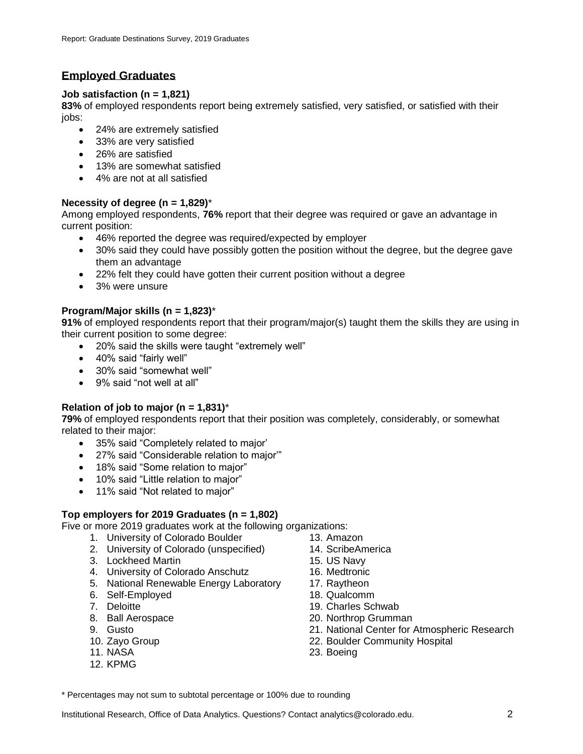# **Employed Graduates**

### **Job satisfaction (n = 1,821)**

**83%** of employed respondents report being extremely satisfied, very satisfied, or satisfied with their jobs:

- 24% are extremely satisfied
- 33% are very satisfied
- 26% are satisfied
- 13% are somewhat satisfied
- 4% are not at all satisfied

#### **Necessity of degree (n = 1,829)**\*

Among employed respondents, **76%** report that their degree was required or gave an advantage in current position:

- 46% reported the degree was required/expected by employer
- 30% said they could have possibly gotten the position without the degree, but the degree gave them an advantage
- 22% felt they could have gotten their current position without a degree
- 3% were unsure

#### **Program/Major skills (n = 1,823)**\*

**91%** of employed respondents report that their program/major(s) taught them the skills they are using in their current position to some degree:

- 20% said the skills were taught "extremely well"
- 40% said "fairly well"
- 30% said "somewhat well"
- 9% said "not well at all"

### **Relation of job to major (n =**  $1,831$ **)<sup>\*</sup>**

**79%** of employed respondents report that their position was completely, considerably, or somewhat related to their major:

- 35% said "Completely related to major'
- 27% said "Considerable relation to major'"
- 18% said "Some relation to major"
- 10% said "Little relation to major"
- 11% said "Not related to major"

### **Top employers for 2019 Graduates (n = 1,802)**

Five or more 2019 graduates work at the following organizations:

- 1. University of Colorado Boulder
- 2. University of Colorado (unspecified)
- 3. Lockheed Martin
- 4. University of Colorado Anschutz
- 5. National Renewable Energy Laboratory
- 6. Self-Employed
- 7. Deloitte
- 8. Ball Aerospace
- 9. Gusto
- 10. Zayo Group
- 11. NASA
- 12. KPMG
- 13. Amazon
- 14. ScribeAmerica
- 15. US Navy
- 16. Medtronic
- 17. Raytheon
- 18. Qualcomm
- 19. Charles Schwab
- 20. Northrop Grumman
- 21. National Center for Atmospheric Research
- 22. Boulder Community Hospital
- 23. Boeing

\* Percentages may not sum to subtotal percentage or 100% due to rounding